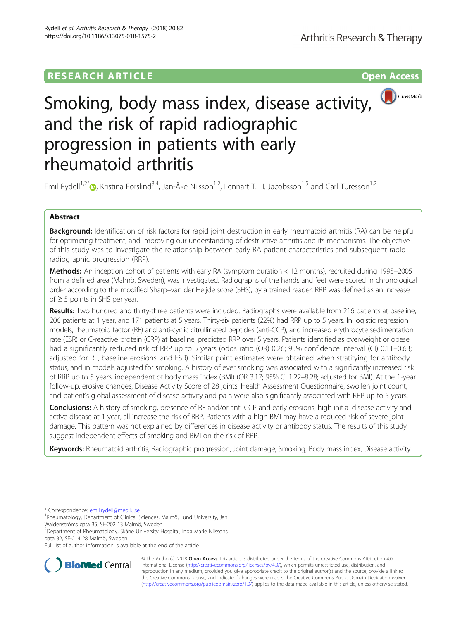# **RESEARCH ARTICLE Example 2014 12:30 The Contract of Contract ACCESS**



# Smoking, body mass index, disease activity, and the risk of rapid radiographic progression in patients with early rheumatoid arthritis

Emil Rydell<sup>1,2[\\*](http://orcid.org/0000-0002-3643-7648)</sup> $\bullet$ , Kristina Forslind<sup>3,4</sup>, Jan-Åke Nilsson<sup>1,2</sup>, Lennart T. H. Jacobsson<sup>1,5</sup> and Carl Turesson<sup>1,2</sup>

# Abstract

Background: Identification of risk factors for rapid joint destruction in early rheumatoid arthritis (RA) can be helpful for optimizing treatment, and improving our understanding of destructive arthritis and its mechanisms. The objective of this study was to investigate the relationship between early RA patient characteristics and subsequent rapid radiographic progression (RRP).

Methods: An inception cohort of patients with early RA (symptom duration < 12 months), recruited during 1995–2005 from a defined area (Malmö, Sweden), was investigated. Radiographs of the hands and feet were scored in chronological order according to the modified Sharp–van der Heijde score (SHS), by a trained reader. RRP was defined as an increase of ≥ 5 points in SHS per year.

Results: Two hundred and thirty-three patients were included. Radiographs were available from 216 patients at baseline, 206 patients at 1 year, and 171 patients at 5 years. Thirty-six patients (22%) had RRP up to 5 years. In logistic regression models, rheumatoid factor (RF) and anti-cyclic citrullinated peptides (anti-CCP), and increased erythrocyte sedimentation rate (ESR) or C-reactive protein (CRP) at baseline, predicted RRP over 5 years. Patients identified as overweight or obese had a significantly reduced risk of RRP up to 5 years (odds ratio (OR) 0.26; 95% confidence interval (CI) 0.11–0.63; adjusted for RF, baseline erosions, and ESR). Similar point estimates were obtained when stratifying for antibody status, and in models adjusted for smoking. A history of ever smoking was associated with a significantly increased risk of RRP up to 5 years, independent of body mass index (BMI) (OR 3.17; 95% CI 1.22–8.28; adjusted for BMI). At the 1-year follow-up, erosive changes, Disease Activity Score of 28 joints, Health Assessment Questionnaire, swollen joint count, and patient's global assessment of disease activity and pain were also significantly associated with RRP up to 5 years.

Conclusions: A history of smoking, presence of RF and/or anti-CCP and early erosions, high initial disease activity and active disease at 1 year, all increase the risk of RRP. Patients with a high BMI may have a reduced risk of severe joint damage. This pattern was not explained by differences in disease activity or antibody status. The results of this study suggest independent effects of smoking and BMI on the risk of RRP.

Keywords: Rheumatoid arthritis, Radiographic progression, Joint damage, Smoking, Body mass index, Disease activity

\* Correspondence: [emil.rydell@med.lu.se](mailto:emil.rydell@med.lu.se) <sup>1</sup>

2 Department of Rheumatology, Skåne University Hospital, Inga Marie Nilssons gata 32, SE-214 28 Malmö, Sweden

Full list of author information is available at the end of the article



© The Author(s). 2018 Open Access This article is distributed under the terms of the Creative Commons Attribution 4.0 International License [\(http://creativecommons.org/licenses/by/4.0/](http://creativecommons.org/licenses/by/4.0/)), which permits unrestricted use, distribution, and reproduction in any medium, provided you give appropriate credit to the original author(s) and the source, provide a link to the Creative Commons license, and indicate if changes were made. The Creative Commons Public Domain Dedication waiver [\(http://creativecommons.org/publicdomain/zero/1.0/](http://creativecommons.org/publicdomain/zero/1.0/)) applies to the data made available in this article, unless otherwise stated.

<sup>&</sup>lt;sup>1</sup>Rheumatology, Department of Clinical Sciences, Malmö, Lund University, Jan Waldenströms gata 35, SE-202 13 Malmö, Sweden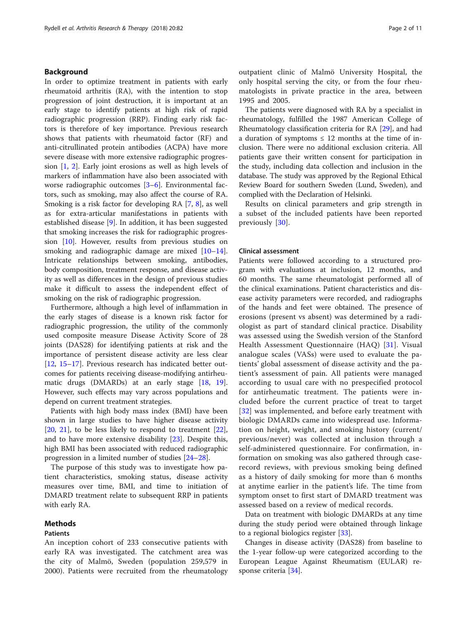# Background

In order to optimize treatment in patients with early rheumatoid arthritis (RA), with the intention to stop progression of joint destruction, it is important at an early stage to identify patients at high risk of rapid radiographic progression (RRP). Finding early risk factors is therefore of key importance. Previous research shows that patients with rheumatoid factor (RF) and anti-citrullinated protein antibodies (ACPA) have more severe disease with more extensive radiographic progression [[1](#page-8-0), [2](#page-8-0)]. Early joint erosions as well as high levels of markers of inflammation have also been associated with worse radiographic outcomes [\[3](#page-8-0)–[6\]](#page-9-0). Environmental factors, such as smoking, may also affect the course of RA. Smoking is a risk factor for developing RA [\[7](#page-9-0), [8](#page-9-0)], as well as for extra-articular manifestations in patients with established disease [\[9](#page-9-0)]. In addition, it has been suggested that smoking increases the risk for radiographic progression [[10](#page-9-0)]. However, results from previous studies on smoking and radiographic damage are mixed  $[10-14]$  $[10-14]$  $[10-14]$  $[10-14]$  $[10-14]$ . Intricate relationships between smoking, antibodies, body composition, treatment response, and disease activity as well as differences in the design of previous studies make it difficult to assess the independent effect of smoking on the risk of radiographic progression.

Furthermore, although a high level of inflammation in the early stages of disease is a known risk factor for radiographic progression, the utility of the commonly used composite measure Disease Activity Score of 28 joints (DAS28) for identifying patients at risk and the importance of persistent disease activity are less clear [[12,](#page-9-0) [15](#page-9-0)–[17](#page-9-0)]. Previous research has indicated better outcomes for patients receiving disease-modifying antirheu-matic drugs (DMARDs) at an early stage [[18,](#page-9-0) [19](#page-9-0)]. However, such effects may vary across populations and depend on current treatment strategies.

Patients with high body mass index (BMI) have been shown in large studies to have higher disease activity [[20,](#page-9-0) [21\]](#page-9-0), to be less likely to respond to treatment [\[22](#page-9-0)], and to have more extensive disability [[23\]](#page-9-0). Despite this, high BMI has been associated with reduced radiographic progression in a limited number of studies [\[24](#page-9-0)–[28\]](#page-9-0).

The purpose of this study was to investigate how patient characteristics, smoking status, disease activity measures over time, BMI, and time to initiation of DMARD treatment relate to subsequent RRP in patients with early RA.

#### Methods

# Patients

outpatient clinic of Malmö University Hospital, the only hospital serving the city, or from the four rheumatologists in private practice in the area, between 1995 and 2005.

The patients were diagnosed with RA by a specialist in rheumatology, fulfilled the 1987 American College of Rheumatology classification criteria for RA [\[29](#page-9-0)], and had a duration of symptoms  $\leq 12$  months at the time of inclusion. There were no additional exclusion criteria. All patients gave their written consent for participation in the study, including data collection and inclusion in the database. The study was approved by the Regional Ethical Review Board for southern Sweden (Lund, Sweden), and complied with the Declaration of Helsinki.

Results on clinical parameters and grip strength in a subset of the included patients have been reported previously [\[30](#page-9-0)].

## Clinical assessment

Patients were followed according to a structured program with evaluations at inclusion, 12 months, and 60 months. The same rheumatologist performed all of the clinical examinations. Patient characteristics and disease activity parameters were recorded, and radiographs of the hands and feet were obtained. The presence of erosions (present vs absent) was determined by a radiologist as part of standard clinical practice. Disability was assessed using the Swedish version of the Stanford Health Assessment Questionnaire (HAQ) [\[31](#page-9-0)]. Visual analogue scales (VASs) were used to evaluate the patients' global assessment of disease activity and the patient's assessment of pain. All patients were managed according to usual care with no prespecified protocol for antirheumatic treatment. The patients were included before the current practice of treat to target [[32](#page-9-0)] was implemented, and before early treatment with biologic DMARDs came into widespread use. Information on height, weight, and smoking history (current/ previous/never) was collected at inclusion through a self-administered questionnaire. For confirmation, information on smoking was also gathered through caserecord reviews, with previous smoking being defined as a history of daily smoking for more than 6 months at anytime earlier in the patient's life. The time from symptom onset to first start of DMARD treatment was assessed based on a review of medical records.

Data on treatment with biologic DMARDs at any time during the study period were obtained through linkage to a regional biologics register [\[33](#page-9-0)].

An inception cohort of 233 consecutive patients with early RA was investigated. The catchment area was the city of Malmö, Sweden (population 259,579 in 2000). Patients were recruited from the rheumatology

Changes in disease activity (DAS28) from baseline to the 1-year follow-up were categorized according to the European League Against Rheumatism (EULAR) response criteria [\[34](#page-9-0)].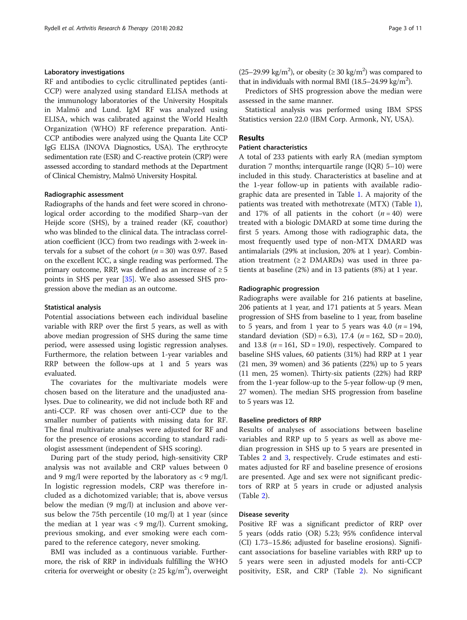# Laboratory investigations

RF and antibodies to cyclic citrullinated peptides (anti-CCP) were analyzed using standard ELISA methods at the immunology laboratories of the University Hospitals in Malmö and Lund. IgM RF was analyzed using ELISA, which was calibrated against the World Health Organization (WHO) RF reference preparation. Anti-CCP antibodies were analyzed using the Quanta Lite CCP IgG ELISA (INOVA Diagnostics, USA). The erythrocyte sedimentation rate (ESR) and C-reactive protein (CRP) were assessed according to standard methods at the Department of Clinical Chemistry, Malmö University Hospital.

## Radiographic assessment

Radiographs of the hands and feet were scored in chronological order according to the modified Sharp–van der Heijde score (SHS), by a trained reader (KF, coauthor) who was blinded to the clinical data. The intraclass correlation coefficient (ICC) from two readings with 2-week intervals for a subset of the cohort ( $n = 30$ ) was 0.97. Based on the excellent ICC, a single reading was performed. The primary outcome, RRP, was defined as an increase of  $\geq 5$ points in SHS per year [[35\]](#page-9-0). We also assessed SHS progression above the median as an outcome.

#### Statistical analysis

Potential associations between each individual baseline variable with RRP over the first 5 years, as well as with above median progression of SHS during the same time period, were assessed using logistic regression analyses. Furthermore, the relation between 1-year variables and RRP between the follow-ups at 1 and 5 years was evaluated.

The covariates for the multivariate models were chosen based on the literature and the unadjusted analyses. Due to colinearity, we did not include both RF and anti-CCP. RF was chosen over anti-CCP due to the smaller number of patients with missing data for RF. The final multivariate analyses were adjusted for RF and for the presence of erosions according to standard radiologist assessment (independent of SHS scoring).

During part of the study period, high-sensitivity CRP analysis was not available and CRP values between 0 and 9 mg/l were reported by the laboratory as  $\langle 9 \text{ mg/l.} \rangle$ In logistic regression models, CRP was therefore included as a dichotomized variable; that is, above versus below the median (9 mg/l) at inclusion and above versus below the 75th percentile (10 mg/l) at 1 year (since the median at 1 year was  $\langle 9 \text{ mg/l} \rangle$ . Current smoking, previous smoking, and ever smoking were each compared to the reference category, never smoking.

BMI was included as a continuous variable. Furthermore, the risk of RRP in individuals fulfilling the WHO criteria for overweight or obesity ( $\geq 25$  kg/m<sup>2</sup>), overweight

(25–29.99 kg/m<sup>2</sup>), or obesity ( $\geq$  30 kg/m<sup>2</sup>) was compared to that in individuals with normal BMI (18.5-24.99 kg/m<sup>2</sup>).

Predictors of SHS progression above the median were assessed in the same manner.

Statistical analysis was performed using IBM SPSS Statistics version 22.0 (IBM Corp. Armonk, NY, USA).

# Results

## Patient characteristics

A total of 233 patients with early RA (median symptom duration 7 months; interquartile range (IQR) 5–10) were included in this study. Characteristics at baseline and at the 1-year follow-up in patients with available radiographic data are presented in Table [1.](#page-3-0) A majority of the patients was treated with methotrexate (MTX) (Table [1](#page-3-0)), and 17% of all patients in the cohort  $(n = 40)$  were treated with a biologic DMARD at some time during the first 5 years. Among those with radiographic data, the most frequently used type of non-MTX DMARD was antimalarials (29% at inclusion, 20% at 1 year). Combination treatment  $(≥ 2 DMARDs)$  was used in three patients at baseline (2%) and in 13 patients (8%) at 1 year.

#### Radiographic progression

Radiographs were available for 216 patients at baseline, 206 patients at 1 year, and 171 patients at 5 years. Mean progression of SHS from baseline to 1 year, from baseline to 5 years, and from 1 year to 5 years was 4.0 ( $n = 194$ , standard deviation (SD) = 6.3), 17.4 ( $n = 162$ , SD = 20.0), and 13.8 ( $n = 161$ , SD = 19.0), respectively. Compared to baseline SHS values, 60 patients (31%) had RRP at 1 year (21 men, 39 women) and 36 patients (22%) up to 5 years (11 men, 25 women). Thirty-six patients (22%) had RRP from the 1-year follow-up to the 5-year follow-up (9 men, 27 women). The median SHS progression from baseline to 5 years was 12.

#### Baseline predictors of RRP

Results of analyses of associations between baseline variables and RRP up to 5 years as well as above median progression in SHS up to 5 years are presented in Tables [2](#page-5-0) and [3](#page-6-0), respectively. Crude estimates and estimates adjusted for RF and baseline presence of erosions are presented. Age and sex were not significant predictors of RRP at 5 years in crude or adjusted analysis (Table [2\)](#page-5-0).

#### Disease severity

Positive RF was a significant predictor of RRP over 5 years (odds ratio (OR) 5.23; 95% confidence interval (CI) 1.73–15.86; adjusted for baseline erosions). Significant associations for baseline variables with RRP up to 5 years were seen in adjusted models for anti-CCP positivity, ESR, and CRP (Table [2\)](#page-5-0). No significant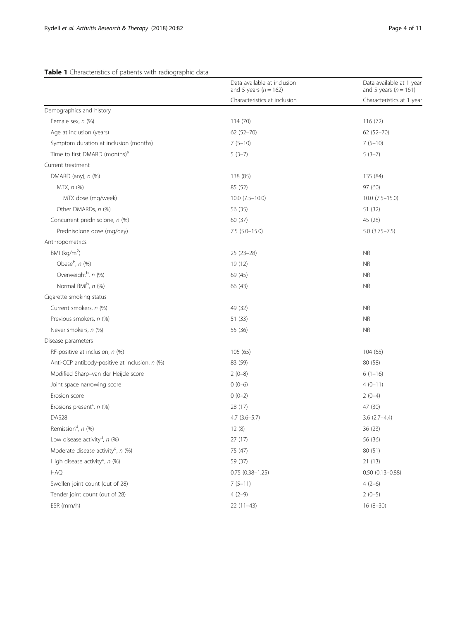# <span id="page-3-0"></span>Table 1 Characteristics of patients with radiographic data

|                                                | Data available at inclusion<br>and 5 years ( $n = 162$ ) | Data available at 1 year<br>and 5 years ( $n = 161$ ) |
|------------------------------------------------|----------------------------------------------------------|-------------------------------------------------------|
|                                                | Characteristics at inclusion                             | Characteristics at 1 year                             |
| Demographics and history                       |                                                          |                                                       |
| Female sex, n (%)                              | 114 (70)                                                 | 116(72)                                               |
| Age at inclusion (years)                       | $62(52 - 70)$                                            | $62(52 - 70)$                                         |
| Symptom duration at inclusion (months)         | $7(5-10)$                                                | $7(5-10)$                                             |
| Time to first DMARD (months) <sup>a</sup>      | $5(3-7)$                                                 | $5(3-7)$                                              |
| Current treatment                              |                                                          |                                                       |
| DMARD (any), $n$ (%)                           | 138 (85)                                                 | 135 (84)                                              |
| MTX, n (%)                                     | 85 (52)                                                  | 97 (60)                                               |
| MTX dose (mg/week)                             | $10.0$ $(7.5-10.0)$                                      | $10.0$ $(7.5-15.0)$                                   |
| Other DMARDs, n (%)                            | 56 (35)                                                  | 51 (32)                                               |
| Concurrent prednisolone, n (%)                 | 60(37)                                                   | 45 (28)                                               |
| Prednisolone dose (mg/day)                     | $7.5(5.0-15.0)$                                          | $5.0$ $(3.75 - 7.5)$                                  |
| Anthropometrics                                |                                                          |                                                       |
| BMI ( $kg/m2$ )                                | $25(23-28)$                                              | <b>NR</b>                                             |
| Obese <sup>b</sup> , n (%)                     | 19 (12)                                                  | <b>NR</b>                                             |
| Overweight <sup>b</sup> , n (%)                | 69 (45)                                                  | <b>NR</b>                                             |
| Normal BMIb, n (%)                             | 66 (43)                                                  | <b>NR</b>                                             |
| Cigarette smoking status                       |                                                          |                                                       |
| Current smokers, n (%)                         | 49 (32)                                                  | <b>NR</b>                                             |
| Previous smokers, n (%)                        | 51 (33)                                                  | <b>NR</b>                                             |
| Never smokers, n (%)                           | 55 (36)                                                  | <b>NR</b>                                             |
| Disease parameters                             |                                                          |                                                       |
| RF-positive at inclusion, $n$ (%)              | 105(65)                                                  | 104(65)                                               |
| Anti-CCP antibody-positive at inclusion, n (%) | 83 (59)                                                  | 80 (58)                                               |
| Modified Sharp-van der Heijde score            | $2(0-8)$                                                 | $6(1-16)$                                             |
| Joint space narrowing score                    | $0(0-6)$                                                 | $4(0-11)$                                             |
| Erosion score                                  | $0(0-2)$                                                 | $2(0-4)$                                              |
| Erosions present <sup>c</sup> , n (%)          | 28 (17)                                                  | 47 (30)                                               |
| DAS <sub>28</sub>                              | $4.7(3.6-5.7)$                                           | $3.6(2.7-4.4)$                                        |
| Remission <sup>d</sup> , n (%)                 | 12(8)                                                    | 36 (23)                                               |
| Low disease activity <sup>d</sup> , $n$ (%)    | 27 (17)                                                  | 56 (36)                                               |
| Moderate disease activity <sup>d</sup> , n (%) | 75 (47)                                                  | 80 (51)                                               |
| High disease activity <sup>d</sup> , n (%)     | 59 (37)                                                  | 21(13)                                                |
| <b>HAQ</b>                                     | $0.75(0.38 - 1.25)$                                      | $0.50(0.13 - 0.88)$                                   |
| Swollen joint count (out of 28)                | $7(5-11)$                                                | $4(2-6)$                                              |
| Tender joint count (out of 28)                 | $4(2-9)$                                                 | $2(0-5)$                                              |
| ESR (mm/h)                                     | $22(11-43)$                                              | $16(8-30)$                                            |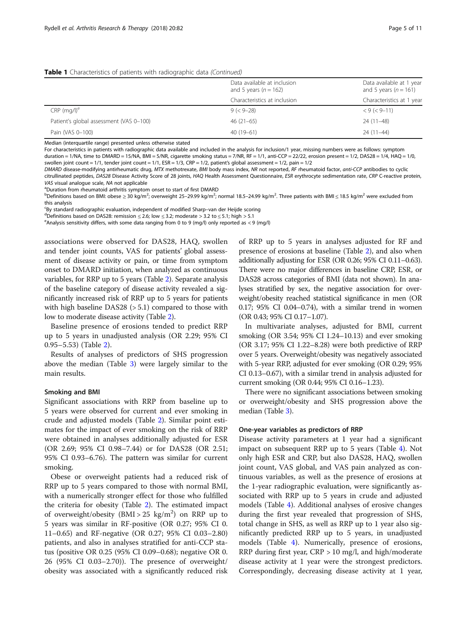#### Table 1 Characteristics of patients with radiographic data (Continued)

|                                         | Data available at inclusion<br>and 5 years ( $n = 162$ ) | Data available at 1 year<br>and 5 years ( $n = 161$ ) |
|-----------------------------------------|----------------------------------------------------------|-------------------------------------------------------|
|                                         | Characteristics at inclusion                             | Characteristics at 1 year                             |
| $CRP$ (mg/l) <sup>e</sup>               | $9 (< 9 - 28)$                                           | $< 9 (< 9 - 11)$                                      |
| Patient's global assessment (VAS 0-100) | $46(21-65)$                                              | $24(11-48)$                                           |
| Pain (VAS 0-100)                        | $40(19-61)$                                              | $24(11-44)$                                           |

Median (interquartile range) presented unless otherwise stated

For characteristics in patients with radiographic data available and included in the analysis for inclusion/1 year, missing numbers were as follows: symptom duration = 1/NA, time to DMARD = 15/NA, BMI = 5/NR, cigarette smoking status = 7/NR, RF = 1/1, anti-CCP = 22/22, erosion present = 1/2, DAS28 = 1/4, HAQ = 1/0, swollen joint count = 1/1, tender joint count = 1/1, ESR = 1/3, CRP = 1/2, patient's global assessment = 1/2, pain = 1/2

DMARD disease-modifying antirheumatic drug, MTX methotrexate, BMI body mass index, NR not reported, RF rheumatoid factor, anti-CCP antibodies to cyclic citrullinated peptides, DAS28 Disease Activity Score of 28 joints, HAQ Health Assessment Questionnaire, ESR erythrocyte sedimentation rate, CRP C-reactive protein, VAS visual analogue scale, NA not applicable

<sup>a</sup>Duration from rheumatoid arthritis symptom onset to start of first DMARD

<sup>b</sup>Definitions based on BMI: obese ≥ 30 kg/m<sup>2</sup>; overweight 25–29.99 kg/m<sup>2</sup>; normal 18.5–24.99 kg/m<sup>2</sup>. Three patients with BMI ≤ 18.5 kg/m<sup>2</sup> were excluded from this analysis

EBy standard radiographic evaluation, independent of modified Sharp–van der Heijde scoring<br><sup>d</sup>Dofinitions based on DAS28; ramission < 2.6; low < 2.2; moderate > 2.2 to < 5.1; bigh > 5.1

<sup>d</sup>Definitions based on DAS28: remission  $\leq$  2.6; low  $\leq$  3.2; moderate > 3.2 to  $\leq$  5.1; high > 5.1

<sup>e</sup> Analysis sensitivity differs, with some data ranging from 0 to 9 (mg/l) only reported as < 9 (mg/l)

associations were observed for DAS28, HAQ, swollen and tender joint counts, VAS for patients' global assessment of disease activity or pain, or time from symptom onset to DMARD initiation, when analyzed as continuous variables, for RRP up to 5 years (Table [2\)](#page-5-0). Separate analysis of the baseline category of disease activity revealed a significantly increased risk of RRP up to 5 years for patients with high baseline DAS28 (> 5.1) compared to those with low to moderate disease activity (Table [2\)](#page-5-0).

Baseline presence of erosions tended to predict RRP up to 5 years in unadjusted analysis (OR 2.29; 95% CI 0.95–5.53) (Table [2](#page-5-0)).

Results of analyses of predictors of SHS progression above the median (Table [3\)](#page-6-0) were largely similar to the main results.

#### Smoking and BMI

Significant associations with RRP from baseline up to 5 years were observed for current and ever smoking in crude and adjusted models (Table [2](#page-5-0)). Similar point estimates for the impact of ever smoking on the risk of RRP were obtained in analyses additionally adjusted for ESR (OR 2.69; 95% CI 0.98–7.44) or for DAS28 (OR 2.51; 95% CI 0.93–6.76). The pattern was similar for current smoking.

Obese or overweight patients had a reduced risk of RRP up to 5 years compared to those with normal BMI, with a numerically stronger effect for those who fulfilled the criteria for obesity (Table [2\)](#page-5-0). The estimated impact of overweight/obesity  $(BMI > 25 \text{ kg/m}^2)$  on RRP up to 5 years was similar in RF-positive (OR 0.27; 95% CI 0. 11–0.65) and RF-negative (OR 0.27; 95% CI 0.03–2.80) patients, and also in analyses stratified for anti-CCP status (positive OR 0.25 (95% CI 0.09–0.68); negative OR 0. 26 (95% CI 0.03–2.70)). The presence of overweight/ obesity was associated with a significantly reduced risk

of RRP up to 5 years in analyses adjusted for RF and presence of erosions at baseline (Table [2](#page-5-0)), and also when additionally adjusting for ESR (OR 0.26; 95% CI 0.11–0.63). There were no major differences in baseline CRP, ESR, or DAS28 across categories of BMI (data not shown). In analyses stratified by sex, the negative association for overweight/obesity reached statistical significance in men (OR 0.17; 95% CI 0.04–0.74), with a similar trend in women (OR 0.43; 95% CI 0.17–1.07).

In multivariate analyses, adjusted for BMI, current smoking (OR 3.54; 95% CI 1.24–10.13) and ever smoking (OR 3.17; 95% CI 1.22–8.28) were both predictive of RRP over 5 years. Overweight/obesity was negatively associated with 5-year RRP, adjusted for ever smoking (OR 0.29; 95% CI 0.13–0.67), with a similar trend in analysis adjusted for current smoking (OR 0.44; 95% CI 0.16–1.23).

There were no significant associations between smoking or overweight/obesity and SHS progression above the median (Table [3](#page-6-0)).

# One-year variables as predictors of RRP

Disease activity parameters at 1 year had a significant impact on subsequent RRP up to 5 years (Table [4\)](#page-7-0). Not only high ESR and CRP, but also DAS28, HAQ, swollen joint count, VAS global, and VAS pain analyzed as continuous variables, as well as the presence of erosions at the 1-year radiographic evaluation, were significantly associated with RRP up to 5 years in crude and adjusted models (Table [4](#page-7-0)). Additional analyses of erosive changes during the first year revealed that progression of SHS, total change in SHS, as well as RRP up to 1 year also significantly predicted RRP up to 5 years, in unadjusted models (Table [4\)](#page-7-0). Numerically, presence of erosions, RRP during first year, CRP > 10 mg/l, and high/moderate disease activity at 1 year were the strongest predictors. Correspondingly, decreasing disease activity at 1 year,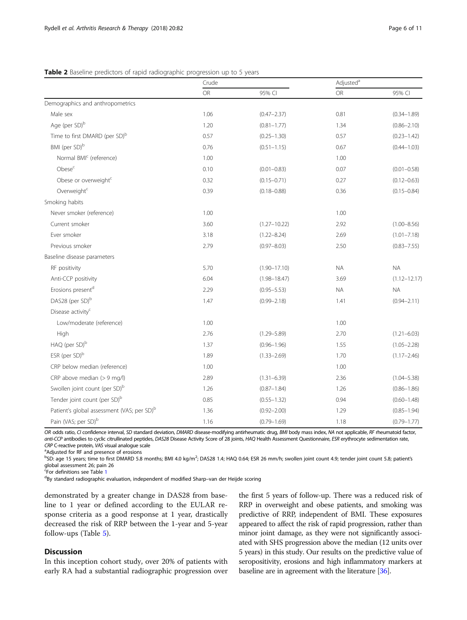# <span id="page-5-0"></span>**Table 2** Baseline predictors of rapid radiographic progression up to 5 years

|                                                        | Crude |                  | Adjusted <sup>a</sup> |                  |
|--------------------------------------------------------|-------|------------------|-----------------------|------------------|
|                                                        | OR    | 95% CI           | OR                    | 95% CI           |
| Demographics and anthropometrics                       |       |                  |                       |                  |
| Male sex                                               | 1.06  | $(0.47 - 2.37)$  | 0.81                  | $(0.34 - 1.89)$  |
| Age (per SD) <sup>b</sup>                              | 1.20  | $(0.81 - 1.77)$  | 1.34                  | $(0.86 - 2.10)$  |
| Time to first DMARD (per SD) <sup>b</sup>              | 0.57  | $(0.25 - 1.30)$  | 0.57                  | $(0.23 - 1.42)$  |
| BMI (per SD) <sup>b</sup>                              | 0.76  | $(0.51 - 1.15)$  | 0.67                  | $(0.44 - 1.03)$  |
| Normal BMI <sup>c</sup> (reference)                    | 1.00  |                  | 1.00                  |                  |
| Obese <sup>c</sup>                                     | 0.10  | $(0.01 - 0.83)$  | 0.07                  | $(0.01 - 0.58)$  |
| Obese or overweight <sup>c</sup>                       | 0.32  | $(0.15 - 0.71)$  | 0.27                  | $(0.12 - 0.63)$  |
| Overweight <sup>c</sup>                                | 0.39  | $(0.18 - 0.88)$  | 0.36                  | $(0.15 - 0.84)$  |
| Smoking habits                                         |       |                  |                       |                  |
| Never smoker (reference)                               | 1.00  |                  | 1.00                  |                  |
| Current smoker                                         | 3.60  | $(1.27 - 10.22)$ | 2.92                  | $(1.00 - 8.56)$  |
| Ever smoker                                            | 3.18  | $(1.22 - 8.24)$  | 2.69                  | $(1.01 - 7.18)$  |
| Previous smoker                                        | 2.79  | $(0.97 - 8.03)$  | 2.50                  | $(0.83 - 7.55)$  |
| Baseline disease parameters                            |       |                  |                       |                  |
| RF positivity                                          | 5.70  | $(1.90 - 17.10)$ | <b>NA</b>             | <b>NA</b>        |
| Anti-CCP positivity                                    | 6.04  | $(1.98 - 18.47)$ | 3.69                  | $(1.12 - 12.17)$ |
| Erosions present <sup>d</sup>                          | 2.29  | $(0.95 - 5.53)$  | <b>NA</b>             | <b>NA</b>        |
| DAS28 (per SD) <sup>b</sup>                            | 1.47  | $(0.99 - 2.18)$  | 1.41                  | $(0.94 - 2.11)$  |
| Disease activity <sup>c</sup>                          |       |                  |                       |                  |
| Low/moderate (reference)                               | 1.00  |                  | 1.00                  |                  |
| High                                                   | 2.76  | $(1.29 - 5.89)$  | 2.70                  | $(1.21 - 6.03)$  |
| HAQ (per SD) <sup>b</sup>                              | 1.37  | $(0.96 - 1.96)$  | 1.55                  | $(1.05 - 2.28)$  |
| ESR (per SD) <sup>b</sup>                              | 1.89  | $(1.33 - 2.69)$  | 1.70                  | $(1.17 - 2.46)$  |
| CRP below median (reference)                           | 1.00  |                  | 1.00                  |                  |
| CRP above median (> 9 mg/l)                            | 2.89  | $(1.31 - 6.39)$  | 2.36                  | $(1.04 - 5.38)$  |
| Swollen joint count (per SD) <sup>b</sup>              | 1.26  | $(0.87 - 1.84)$  | 1.26                  | $(0.86 - 1.86)$  |
| Tender joint count (per SD) <sup>b</sup>               | 0.85  | $(0.55 - 1.32)$  | 0.94                  | $(0.60 - 1.48)$  |
| Patient's global assessment (VAS; per SD) <sup>b</sup> | 1.36  | $(0.92 - 2.00)$  | 1.29                  | $(0.85 - 1.94)$  |
| Pain (VAS; per SD) <sup>b</sup>                        | 1.16  | $(0.79 - 1.69)$  | 1.18                  | $(0.79 - 1.77)$  |

OR odds ratio, CI confidence interval, SD standard deviation, DMARD disease-modifying antirheumatic drug, BMI body mass index, NA not applicable, RF rheumatoid factor, anti-CCP antibodies to cyclic citrullinated peptides, DAS28 Disease Activity Score of 28 joints, HAQ Health Assessment Questionnaire, ESR erythrocyte sedimentation rate, CRP C-reactive protein, VAS visual analogue scale

Adjusted for RF and presence of erosions

 $^{\rm b}$ SD: age 15 years; time to first DMARD 5.8 months; BMI 4.0 kg/m<sup>2</sup>; DAS28 1.4; HAQ 0.64; ESR 26 mm/h; swollen joint count 4.9; tender joint count 5.8; patient's global assessment 26; pain 26

<sup>c</sup><br>For definitions see Table [1](#page-3-0)<br><sup>d</sup>By standard radiographic

<sup>d</sup>By standard radiographic evaluation, independent of modified Sharp-van der Heijde scoring

demonstrated by a greater change in DAS28 from baseline to 1 year or defined according to the EULAR response criteria as a good response at 1 year, drastically decreased the risk of RRP between the 1-year and 5-year follow-ups (Table [5\)](#page-7-0).

# Discussion

In this inception cohort study, over 20% of patients with early RA had a substantial radiographic progression over the first 5 years of follow-up. There was a reduced risk of RRP in overweight and obese patients, and smoking was predictive of RRP, independent of BMI. These exposures appeared to affect the risk of rapid progression, rather than minor joint damage, as they were not significantly associated with SHS progression above the median (12 units over 5 years) in this study. Our results on the predictive value of seropositivity, erosions and high inflammatory markers at baseline are in agreement with the literature [\[36\]](#page-9-0).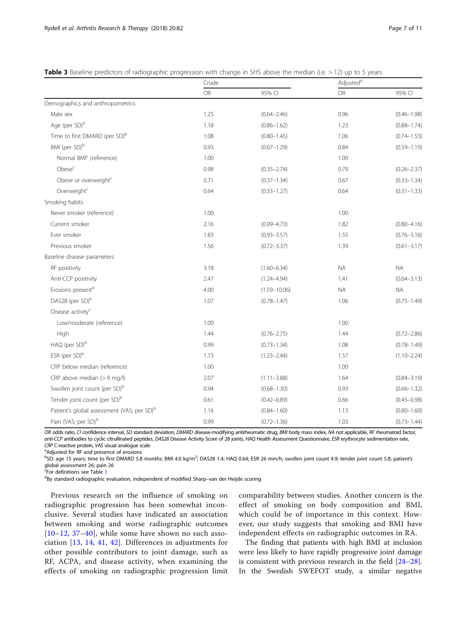|                                                        | Crude |                  | Adjusted <sup>a</sup> |                 |
|--------------------------------------------------------|-------|------------------|-----------------------|-----------------|
|                                                        | OR    | 95% CI           | OR                    | 95% CI          |
| Demographics and anthropometrics                       |       |                  |                       |                 |
| Male sex                                               | 1.25  | $(0.64 - 2.46)$  | 0.96                  | $(0.46 - 1.98)$ |
| Age (per SD) <sup>b</sup>                              | 1.18  | $(0.86 - 1.62)$  | 1.23                  | $(0.88 - 1.74)$ |
| Time to first DMARD (per SD) <sup>b</sup>              | 1.08  | $(0.80 - 1.45)$  | 1.06                  | $(0.74 - 1.53)$ |
| BMI (per SD) <sup>b</sup>                              | 0.93  | $(0.67 - 1.29)$  | 0.84                  | $(0.59 - 1.19)$ |
| Normal BMI <sup>c</sup> (reference)                    | 1.00  |                  | 1.00                  |                 |
| Obese <sup>c</sup>                                     | 0.98  | $(0.35 - 2.74)$  | 0.79                  | $(0.26 - 2.37)$ |
| Obese or overweight <sup>c</sup>                       | 0.71  | $(0.37 - 1.34)$  | 0.67                  | $(0.33 - 1.34)$ |
| Overweight <sup>c</sup>                                | 0.64  | $(0.33 - 1.27)$  | 0.64                  | $(0.31 - 1.33)$ |
| Smoking habits                                         |       |                  |                       |                 |
| Never smoker (reference)                               | 1.00  |                  | 1.00                  |                 |
| Current smoker                                         | 2.16  | $(0.99 - 4.73)$  | 1.82                  | $(0.80 - 4.16)$ |
| Ever smoker                                            | 1.83  | $(0.93 - 3.57)$  | 1.55                  | $(0.76 - 3.16)$ |
| Previous smoker                                        | 1.56  | $(0.72 - 3.37)$  | 1.39                  | $(0.61 - 3.17)$ |
| Baseline disease parameters                            |       |                  |                       |                 |
| RF positivity                                          | 3.18  | $(1.60 - 6.34)$  | <b>NA</b>             | <b>NA</b>       |
| Anti-CCP positivity                                    | 2.47  | $(1.24 - 4.94)$  | 1.41                  | $(0.64 - 3.13)$ |
| Erosions present <sup>d</sup>                          | 4.00  | $(1.59 - 10.06)$ | <b>NA</b>             | <b>NA</b>       |
| DAS28 (per SD) <sup>b</sup>                            | 1.07  | $(0.78 - 1.47)$  | 1.06                  | $(0.75 - 1.49)$ |
| Disease activity <sup>c</sup>                          |       |                  |                       |                 |
| Low/moderate (reference)                               | 1.00  |                  | 1.00                  |                 |
| High                                                   | 1.44  | $(0.76 - 2.75)$  | 1.44                  | $(0.72 - 2.86)$ |
| HAQ (per SD) <sup>b</sup>                              | 0.99  | $(0.73 - 1.34)$  | 1.08                  | $(0.78 - 1.49)$ |
| ESR (per SD) <sup>b</sup>                              | 1.73  | $(1.23 - 2.44)$  | 1.57                  | $(1.10 - 2.24)$ |
| CRP below median (reference)                           | 1.00  |                  | 1.00                  |                 |
| CRP above median (> 9 mg/l)                            | 2.07  | $(1.11 - 3.88)$  | 1.64                  | $(0.84 - 3.19)$ |
| Swollen joint count (per SD) <sup>b</sup>              | 0.94  | $(0.68 - 1.30)$  | 0.93                  | $(0.66 - 1.32)$ |
| Tender joint count (per SD) <sup>b</sup>               | 0.61  | $(0.42 - 0.89)$  | 0.66                  | $(0.45 - 0.98)$ |
| Patient's global assessment (VAS; per SD) <sup>b</sup> | 1.16  | $(0.84 - 1.60)$  | 1.13                  | $(0.80 - 1.60)$ |
| Pain (VAS; per SD) <sup>b</sup>                        | 0.99  | $(0.72 - 1.36)$  | 1.03                  | $(0.73 - 1.44)$ |

<span id="page-6-0"></span>Table 3 Baseline predictors of radiographic progression with change in SHS above the median (i.e. > 12) up to 5 years

OR odds ratio, CI confidence interval, SD standard deviation, DMARD disease-modifying antirheumatic drug, BMI body mass index, NA not applicable, RF rheumatoid factor, anti-CCP antibodies to cyclic citrullinated peptides, DAS28 Disease Activity Score of 28 joints, HAQ Health Assessment Questionnaire, ESR erythrocyte sedimentation rate, CRP C-reactive protein, VAS visual analogue scale

<sup>a</sup>Adjusted for RF and presence of erosions

 $^{\rm b}$ SD: age 15 years; time to first DMARD 5.8 months; BMI 4.0 kg/m<sup>2</sup>; DAS28 1.4; HAQ 0.64; ESR 26 mm/h; swollen joint count 4.9; tender joint count 5.8; patient's global assessment 26; pain 26

<sup>c</sup><br>For definitions see Table [1](#page-3-0)<br><sup>d</sup>By standard radiographic

<sup>d</sup>By standard radiographic evaluation, independent of modified Sharp-van der Heijde scoring

Previous research on the influence of smoking on radiographic progression has been somewhat inconclusive. Several studies have indicated an association between smoking and worse radiographic outcomes  $[10–12, 37–40]$  $[10–12, 37–40]$  $[10–12, 37–40]$  $[10–12, 37–40]$  $[10–12, 37–40]$  $[10–12, 37–40]$  $[10–12, 37–40]$  $[10–12, 37–40]$ , while some have shown no such association [[13,](#page-9-0) [14,](#page-9-0) [41,](#page-9-0) [42\]](#page-9-0). Differences in adjustments for other possible contributors to joint damage, such as RF, ACPA, and disease activity, when examining the effects of smoking on radiographic progression limit

comparability between studies. Another concern is the effect of smoking on body composition and BMI, which could be of importance in this context. However, our study suggests that smoking and BMI have independent effects on radiographic outcomes in RA.

The finding that patients with high BMI at inclusion were less likely to have rapidly progressive joint damage is consistent with previous research in the field [[24](#page-9-0)–[28](#page-9-0)]. In the Swedish SWEFOT study, a similar negative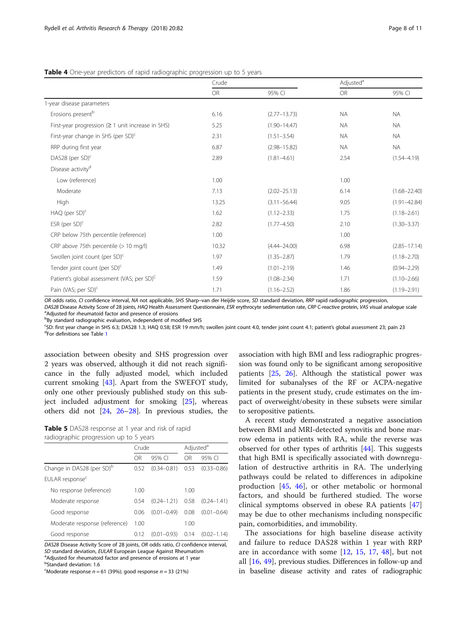|                                                         | Crude |                  | Adjusted <sup>a</sup> |                  |
|---------------------------------------------------------|-------|------------------|-----------------------|------------------|
|                                                         | OR    | 95% CI           | OR                    | 95% CI           |
| 1-year disease parameters                               |       |                  |                       |                  |
| Erosions present <sup>b</sup>                           | 6.16  | $(2.77 - 13.73)$ | <b>NA</b>             | <b>NA</b>        |
| First-year progression $( \geq 1$ unit increase in SHS) | 5.25  | $(1.90 - 14.47)$ | <b>NA</b>             | <b>NA</b>        |
| First-year change in SHS (per SD) <sup>c</sup>          | 2.31  | $(1.51 - 3.54)$  | <b>NA</b>             | <b>NA</b>        |
| RRP during first year                                   | 6.87  | $(2.98 - 15.82)$ | <b>NA</b>             | <b>NA</b>        |
| DAS28 (per SD) <sup>c</sup>                             | 2.89  | $(1.81 - 4.61)$  | 2.54                  | $(1.54 - 4.19)$  |
| Disease activity <sup>d</sup>                           |       |                  |                       |                  |
| Low (reference)                                         | 1.00  |                  | 1.00                  |                  |
| Moderate                                                | 7.13  | $(2.02 - 25.13)$ | 6.14                  | $(1.68 - 22.40)$ |
| High                                                    | 13.25 | $(3.11 - 56.44)$ | 9.05                  | $(1.91 - 42.84)$ |
| $HAQ$ (per $SD$ ) <sup>c</sup>                          | 1.62  | $(1.12 - 2.33)$  | 1.75                  | $(1.18 - 2.61)$  |
| ESR (per $SD$ ) <sup>c</sup>                            | 2.82  | $(1.77 - 4.50)$  | 2.10                  | $(1.30 - 3.37)$  |
| CRP below 75th percentile (reference)                   | 1.00  |                  | 1.00                  |                  |
| CRP above 75th percentile (> 10 mg/l)                   | 10.32 | $(4.44 - 24.00)$ | 6.98                  | $(2.85 - 17.14)$ |
| Swollen joint count (per SD) <sup>c</sup>               | 1.97  | $(1.35 - 2.87)$  | 1.79                  | $(1.18 - 2.70)$  |
| Tender joint count (per SD) <sup>c</sup>                | 1.49  | $(1.01 - 2.19)$  | 1.46                  | $(0.94 - 2.29)$  |
| Patient's global assessment (VAS; per SD) <sup>C</sup>  | 1.59  | $(1.08 - 2.34)$  | 1.71                  | $(1.10 - 2.66)$  |
| Pain (VAS; per SD) <sup>c</sup>                         | 1.71  | $(1.16 - 2.52)$  | 1.86                  | $(1.19 - 2.91)$  |

<span id="page-7-0"></span>Table 4 One-year predictors of rapid radiographic progression up to 5 years

OR odds ratio, CI confidence interval, NA not applicable, SHS Sharp-van der Heijde score, SD standard deviation, RRP rapid radiographic progression,

DAS28 Disease Activity Score of 28 joints, HAQ Health Assessment Questionnaire, ESR erythrocyte sedimentation rate, CRP C-reactive protein, VAS visual analogue scale <sup>a</sup>Adjusted for rheumatoid factor and presence of erosions

<sup>b</sup>By standard radiographic evaluation, independent of modified SHS

<sup>c</sup>SD: first year change in SHS 6.3; DAS28 1.3; HAQ 0.58; ESR 19 mm/h; swollen joint count 4.0, tender joint count 4.1; patient's global assessment 23; pain 23<br><sup>dE</sup>EA definitions soo Tablo 1 <sup>d</sup>For definitions see Table [1](#page-3-0)

association between obesity and SHS progression over 2 years was observed, although it did not reach significance in the fully adjusted model, which included current smoking [[43\]](#page-9-0). Apart from the SWEFOT study, only one other previously published study on this subject included adjustment for smoking [[25](#page-9-0)], whereas others did not [\[24](#page-9-0), [26](#page-9-0)–[28\]](#page-9-0). In previous studies, the

Table 5 DAS28 response at 1 year and risk of rapid radiographic progression up to 5 years

|                                       | Crude |                 | Adjusted <sup>a</sup> |                 |
|---------------------------------------|-------|-----------------|-----------------------|-----------------|
|                                       | OR    | 95% CI          | OR                    | 95% CI          |
| Change in DAS28 (per SD) <sup>b</sup> | 0.52  | $(0.34 - 0.81)$ | 0.53                  | $(0.33 - 0.86)$ |
| EULAR response <sup>c</sup>           |       |                 |                       |                 |
| No response (reference)               | 1.00  |                 | 1.00                  |                 |
| Moderate response                     | 0.54  | $(0.24 - 1.21)$ | 0.58                  | $(0.24 - 1.41)$ |
| Good response                         | 0.06  | $(0.01 - 0.49)$ | 0.08                  | $(0.01 - 0.64)$ |
| Moderate response (reference)         | 1.00  |                 | 1.00                  |                 |
| Good response                         | 0.12  | $(0.01 - 0.93)$ | 0.14                  | $(0.02 - 1.14)$ |

DAS28 Disease Activity Score of 28 joints, OR odds ratio, CI confidence interval, SD standard deviation, EULAR European League Against Rheumatism <sup>a</sup>Adjusted for rheumatoid factor and presence of erosions at 1 year

<sup>b</sup>Standard deviation: 1.6

 $c^{\text{c}}$ Moderate response  $n = 61$  (39%); good response  $n = 33$  (21%)

association with high BMI and less radiographic progression was found only to be significant among seropositive patients [\[25,](#page-9-0) [26\]](#page-9-0). Although the statistical power was limited for subanalyses of the RF or ACPA-negative patients in the present study, crude estimates on the impact of overweight/obesity in these subsets were similar to seropositive patients.

A recent study demonstrated a negative association between BMI and MRI-detected synovitis and bone marrow edema in patients with RA, while the reverse was observed for other types of arthritis [\[44](#page-9-0)]. This suggests that high BMI is specifically associated with downregulation of destructive arthritis in RA. The underlying pathways could be related to differences in adipokine production [\[45](#page-10-0), [46](#page-10-0)], or other metabolic or hormonal factors, and should be furthered studied. The worse clinical symptoms observed in obese RA patients [\[47](#page-10-0)] may be due to other mechanisms including nonspecific pain, comorbidities, and immobility.

The associations for high baseline disease activity and failure to reduce DAS28 within 1 year with RRP are in accordance with some [\[12](#page-9-0), [15,](#page-9-0) [17](#page-9-0), [48\]](#page-10-0), but not all  $[16, 49]$  $[16, 49]$  $[16, 49]$  $[16, 49]$ , previous studies. Differences in follow-up and in baseline disease activity and rates of radiographic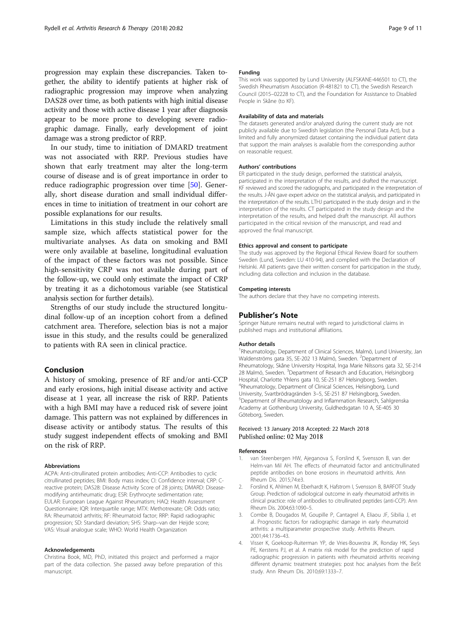<span id="page-8-0"></span>progression may explain these discrepancies. Taken together, the ability to identify patients at higher risk of radiographic progression may improve when analyzing DAS28 over time, as both patients with high initial disease activity and those with active disease 1 year after diagnosis appear to be more prone to developing severe radiographic damage. Finally, early development of joint damage was a strong predictor of RRP.

In our study, time to initiation of DMARD treatment was not associated with RRP. Previous studies have shown that early treatment may alter the long-term course of disease and is of great importance in order to reduce radiographic progression over time [[50\]](#page-10-0). Generally, short disease duration and small individual differences in time to initiation of treatment in our cohort are possible explanations for our results.

Limitations in this study include the relatively small sample size, which affects statistical power for the multivariate analyses. As data on smoking and BMI were only available at baseline, longitudinal evaluation of the impact of these factors was not possible. Since high-sensitivity CRP was not available during part of the follow-up, we could only estimate the impact of CRP by treating it as a dichotomous variable (see Statistical analysis section for further details).

Strengths of our study include the structured longitudinal follow-up of an inception cohort from a defined catchment area. Therefore, selection bias is not a major issue in this study, and the results could be generalized to patients with RA seen in clinical practice.

## Conclusion

A history of smoking, presence of RF and/or anti-CCP and early erosions, high initial disease activity and active disease at 1 year, all increase the risk of RRP. Patients with a high BMI may have a reduced risk of severe joint damage. This pattern was not explained by differences in disease activity or antibody status. The results of this study suggest independent effects of smoking and BMI on the risk of RRP.

#### Abbreviations

ACPA: Anti-citrullinated protein antibodies; Anti-CCP: Antibodies to cyclic citrullinated peptides; BMI: Body mass index; CI: Confidence interval; CRP: Creactive protein; DAS28: Disease Activity Score of 28 joints; DMARD: Diseasemodifying antirheumatic drug; ESR: Erythrocyte sedimentation rate; EULAR: European League Against Rheumatism; HAQ: Health Assessment Questionnaire; IQR: Interquartile range; MTX: Methotrexate; OR: Odds ratio; RA: Rheumatoid arthritis; RF: Rheumatoid factor; RRP: Rapid radiographic progression; SD: Standard deviation; SHS: Sharp–van der Heijde score; VAS: Visual analogue scale; WHO: World Health Organization

#### Acknowledgements

Christina Book, MD, PhD, initiated this project and performed a major part of the data collection. She passed away before preparation of this manuscript.

#### Funding

This work was supported by Lund University (ALFSKANE-446501 to CT), the Swedish Rheumatism Association (R-481821 to CT), the Swedish Research Council (2015–02228 to CT), and the Foundation for Assistance to Disabled People in Skåne (to KF).

#### Availability of data and materials

The datasets generated and/or analyzed during the current study are not publicly available due to Swedish legislation (the Personal Data Act), but a limited and fully anonymized dataset containing the individual patient data that support the main analyses is available from the corresponding author on reasonable request.

#### Authors' contributions

ER participated in the study design, performed the statistical analysis, participated in the interpretation of the results, and drafted the manuscript. KF reviewed and scored the radiographs, and participated in the interpretation of the results. J-ÅN gave expert advice on the statistical analysis, and participated in the interpretation of the results. LTHJ participated in the study design and in the interpretation of the results. CT participated in the study design and the interpretation of the results, and helped draft the manuscript. All authors participated in the critical revision of the manuscript, and read and approved the final manuscript.

#### Ethics approval and consent to participate

The study was approved by the Regional Ethical Review Board for southern Sweden (Lund, Sweden: LU 410-94), and complied with the Declaration of Helsinki. All patients gave their written consent for participation in the study, including data collection and inclusion in the database.

## Competing interests

The authors declare that they have no competing interests.

#### Publisher's Note

Springer Nature remains neutral with regard to jurisdictional claims in published maps and institutional affiliations.

#### Author details

<sup>1</sup>Rheumatology, Department of Clinical Sciences, Malmö, Lund University, Jan Waldenströms gata 35, SE-202 13 Malmö, Sweden. <sup>2</sup>Department of Rheumatology, Skåne University Hospital, Inga Marie Nilssons gata 32, SE-214 28 Malmö, Sweden. <sup>3</sup>Department of Research and Education, Helsingborg Hospital, Charlotte Yhlens gata 10, SE-251 87 Helsingborg, Sweden. 4 Rheumatology, Department of Clinical Sciences, Helsingborg, Lund University, Svartbrödragränden 3-5, SE-251 87 Helsingborg, Sweden. Department of Rheumatology and Inflammation Research, Sahlgrenska Academy at Gothenburg University, Guldhedsgatan 10 A, SE-405 30 Göteborg, Sweden.

#### Received: 13 January 2018 Accepted: 22 March 2018 Published online: 02 May 2018

#### References

- van Steenbergen HW, Ajeganova S, Forslind K, Svensson B, van der Helm-van Mil AH. The effects of rheumatoid factor and anticitrullinated peptide antibodies on bone erosions in rheumatoid arthritis. Ann Rheum Dis. 2015;74:e3.
- 2. Forslind K, Ahlmen M, Eberhardt K, Hafstrom I, Svensson B, BARFOT Study Group. Prediction of radiological outcome in early rheumatoid arthritis in clinical practice: role of antibodies to citrullinated peptides (anti-CCP). Ann Rheum Dis. 2004;63:1090–5.
- 3. Combe B, Dougados M, Goupille P, Cantagrel A, Eliaou JF, Sibilia J, et al. Prognostic factors for radiographic damage in early rheumatoid arthritis: a multiparameter prospective study. Arthritis Rheum. 2001;44:1736–43.
- 4. Visser K, Goekoop-Ruiterman YP, de Vries-Bouwstra JK, Ronday HK, Seys PE, Kerstens PJ, et al. A matrix risk model for the prediction of rapid radiographic progression in patients with rheumatoid arthritis receiving different dynamic treatment strategies: post hoc analyses from the BeSt study. Ann Rheum Dis. 2010;69:1333–7.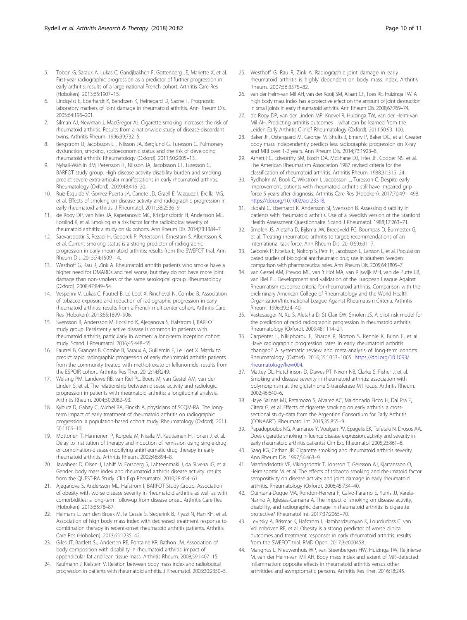- <span id="page-9-0"></span>5. Tobon G, Saraux A, Lukas C, Gandjbakhch F, Gottenberg JE, Mariette X, et al. First-year radiographic progression as a predictor of further progression in early arthritis: results of a large national French cohort. Arthritis Care Res (Hoboken). 2013;65:1907–15.
- 6. Lindqvist E, Eberhardt K, Bendtzen K, Heinegard D, Saxne T. Prognostic laboratory markers of joint damage in rheumatoid arthritis. Ann Rheum Dis. 2005;64:196–201.
- 7. Silman AJ, Newman J, MacGregor AJ. Cigarette smoking increases the risk of rheumatoid arthritis. Results from a nationwide study of disease-discordant twins. Arthritis Rheum. 1996;39:732–5.
- 8. Bergstrom U, Jacobsson LT, Nilsson JA, Berglund G, Turesson C. Pulmonary dysfunction, smoking, socioeconomic status and the risk of developing rheumatoid arthritis. Rheumatology (Oxford). 2011;50:2005–13.
- 9. Nyhall-Wåhlin BM, Petersson IF, Nilsson JA, Jacobsson LT, Turesson C, BARFOT study group. High disease activity disability burden and smoking predict severe extra-articular manifestations in early rheumatoid arthritis. Rheumatology (Oxford). 2009;48:416–20.
- 10. Ruiz-Esquide V, Gomez-Puerta JA, Canete JD, Graell E, Vazquez I, Ercilla MG, et al. Effects of smoking on disease activity and radiographic progression in early rheumatoid arthritis. J Rheumatol. 2011;38:2536–9.
- 11. de Rooy DP, van Nies JA, Kapetanovic MC, Kristjansdottir H, Andersson ML, Forslind K, et al. Smoking as a risk factor for the radiological severity of rheumatoid arthritis: a study on six cohorts. Ann Rheum Dis. 2014;73:1384–7.
- 12. Saevarsdottir S, Rezaei H, Geborek P, Petersson I, Ernestam S, Albertsson K, et al. Current smoking status is a strong predictor of radiographic progression in early rheumatoid arthritis: results from the SWEFOT trial. Ann Rheum Dis. 2015;74:1509–14.
- 13. Westhoff G, Rau R, Zink A. Rheumatoid arthritis patients who smoke have a higher need for DMARDs and feel worse, but they do not have more joint damage than non-smokers of the same serological group. Rheumatology (Oxford). 2008;47:849–54.
- 14. Vesperini V, Lukas C, Fautrel B, Le Loet X, Rincheval N, Combe B. Association of tobacco exposure and reduction of radiographic progression in early rheumatoid arthritis: results from a French multicenter cohort. Arthritis Care Res (Hoboken). 2013;65:1899–906.
- 15. Svensson B, Andersson M, Forslind K, Ajeganova S, Hafstrom I, BARFOT study group. Persistently active disease is common in patients with rheumatoid arthritis, particularly in women: a long-term inception cohort study. Scand J Rheumatol. 2016;45:448–55.
- 16. Fautrel B, Granger B, Combe B, Saraux A, Guillemin F, Le Loet X. Matrix to predict rapid radiographic progression of early rheumatoid arthritis patients from the community treated with methotrexate or leflunomide: results from the ESPOIR cohort. Arthritis Res Ther. 2012;14:R249.
- 17. Welsing PM, Landewe RB, van Riel PL, Boers M, van Gestel AM, van der Linden S, et al. The relationship between disease activity and radiologic progression in patients with rheumatoid arthritis: a longitudinal analysis. Arthritis Rheum. 2004;50:2082–93.
- 18. Kyburz D, Gabay C, Michel BA, Finckh A, physicians of SCQM-RA. The longterm impact of early treatment of rheumatoid arthritis on radiographic progression: a population-based cohort study. Rheumatology (Oxford). 2011; 50:1106–10.
- 19. Mottonen T, Hannonen P, Korpela M, Nissila M, Kautiainen H, Ilonen J, et al. Delay to institution of therapy and induction of remission using single-drug or combination-disease-modifying antirheumatic drug therapy in early rheumatoid arthritis. Arthritis Rheum. 2002;46:894–8.
- 20. Jawaheer D, Olsen J, Lahiff M, Forsberg S, Lahteenmaki J, da Silveira IG, et al. Gender, body mass index and rheumatoid arthritis disease activity: results from the QUEST-RA Study. Clin Exp Rheumatol. 2010;28:454–61.
- 21. Ajeganova S, Andersson ML, Hafström I, BARFOT Study Group. Association of obesity with worse disease severity in rheumatoid arthritis as well as with comorbidities: a long-term followup from disease onset. Arthritis Care Res (Hoboken). 2013;65:78–87.
- 22. Heimans L, van den Broek M, le Cessie S, Siegerink B, Riyazi N, Han KH, et al. Association of high body mass index with decreased treatment response to combination therapy in recent-onset rheumatoid arthritis patients. Arthritis Care Res (Hoboken). 2013;65:1235–42.
- 23. Giles JT, Bartlett SJ, Andersen RE, Fontaine KR, Bathon JM. Association of body composition with disability in rheumatoid arthritis: impact of appendicular fat and lean tissue mass. Arthritis Rheum. 2008;59:1407–15.
- 24. Kaufmann J, Kielstein V. Relation between body mass index and radiological progression in patients with rheumatoid arthritis. J Rheumatol. 2003;30:2350–5.
- 25. Westhoff G, Rau R, Zink A. Radiographic joint damage in early rheumatoid arthritis is highly dependent on body mass index. Arthritis Rheum. 2007;56:3575–82.
- 26. van der Helm-van Mil AH, van der Kooij SM, Allaart CF, Toes RE, Huizinga TW. A high body mass index has a protective effect on the amount of joint destruction in small joints in early rheumatoid arthritis. Ann Rheum Dis. 2008;67:769-74.
- 27. de Rooy DP, van der Linden MP, Knevel R, Huizinga TW, van der Helm-van Mil AH. Predicting arthritis outcomes—what can be learned from the Leiden Early Arthritis Clinic? Rheumatology (Oxford). 2011;50:93–100.
- 28. Baker JF, Ostergaard M, George M, Shults J, Emery P, Baker DG, et al. Greater body mass independently predicts less radiographic progression on X-ray and MRI over 1-2 years. Ann Rheum Dis. 2014;73:1923–8.
- 29. Arnett FC, Edworthy SM, Bloch DA, McShane DJ, Fries JF, Cooper NS, et al. The American Rheumatism Association 1987 revised criteria for the classification of rheumatoid arthritis. Arthritis Rheum. 1988;31:315–24.
- 30. Rydholm M, Book C, Wikström I, Jacobsson L, Turesson C. Despite early improvement, patients with rheumatoid arthritis still have impaired grip force 5 years after diagnosis. Arthritis Care Res (Hoboken). 2017;70:491–498. [https://doi.org/10.1002/acr.23318.](https://doi.org/10.1002/acr.23318)
- 31. Ekdahl C, Eberhardt K, Andersson SI, Svensson B. Assessing disability in patients with rheumatoid arthritis. Use of a Swedish version of the Stanford Health Assessment Questionnaire. Scand J Rheumatol. 1988;17:263–71.
- 32. Smolen JS, Aletaha D, Bijlsma JW, Breedveld FC, Boumpas D, Burmester G, et al. Treating rheumatoid arthritis to target: recommendations of an international task force. Ann Rheum Dis. 2010;69:631–7.
- 33. Geborek P, Nitelius E, Noltorp S, Petri H, Jacobsson L, Larsson L, et al. Population based studies of biological antirheumatic drug use in southern Sweden: comparison with pharmaceutical sales. Ann Rheum Dis. 2005;64:1805–7.
- van Gestel AM, Prevoo ML, van 't Hof MA, van Rijswijk MH, van de Putte LB, van Riel PL. Development and validation of the European League Against Rheumatism response criteria for rheumatoid arthritis. Comparison with the preliminary American College of Rheumatology and the World Health Organization/International League Against Rheumatism Criteria. Arthritis Rheum. 1996;39:34–40.
- 35. Vastesaeger N, Xu S, Aletaha D, St Clair EW, Smolen JS. A pilot risk model for the prediction of rapid radiographic progression in rheumatoid arthritis. Rheumatology (Oxford). 2009;48:1114–21.
- 36. Carpenter L, Nikiphorou E, Sharpe R, Norton S, Rennie K, Bunn F, et al. Have radiographic progression rates in early rheumatoid arthritis changed? A systematic review and meta-analysis of long-term cohorts. Rheumatology (Oxford). 2016;55:1053–1065. [https://doi.org/10.1093/](https://doi.org/10.1093/rheumatology/kew004) [rheumatology/kew004.](https://doi.org/10.1093/rheumatology/kew004)
- 37. Mattey DL, Hutchinson D, Dawes PT, Nixon NB, Clarke S, Fisher J, et al. Smoking and disease severity in rheumatoid arthritis: association with polymorphism at the glutathione S-transferase M1 locus. Arthritis Rheum. 2002;46:640–6.
- 38. Haye Salinas MJ, Retamozo S, Alvarez AC, Maldonado Ficco H, Dal Pra F, Citera G, et al. Effects of cigarette smoking on early arthritis: a crosssectional study-data from the Argentine Consortium for Early Arthritis (CONAART). Rheumatol Int. 2015;35:855–9.
- 39. Papadopoulos NG, Alamanos Y, Voulgari PV, Epagelis EK, Tsifetaki N, Drosos AA. Does cigarette smoking influence disease expression, activity and severity in early rheumatoid arthritis patients? Clin Exp Rheumatol. 2005;23:861–6.
- Saag KG, Cerhan JR. Cigarette smoking and rheumatoid arthritis severity. Ann Rheum Dis. 1997;56:463–9.
- 41. Manfredsdottir VF, Vikingsdottir T, Jonsson T, Geirsson AJ, Kjartansson O, Heimisdottir M, et al. The effects of tobacco smoking and rheumatoid factor seropositivity on disease activity and joint damage in early rheumatoid arthritis. Rheumatology (Oxford). 2006;45:734–40.
- 42. Quintana-Duque MA, Rondon-Herrera F, Calvo-Paramo E, Yunis JJ, Varela-Narino A, Iglesias-Gamarra A. The impact of smoking on disease activity, disability, and radiographic damage in rheumatoid arthritis: is cigarette protective? Rheumatol Int. 2017;37:2065–70.
- 43. Levitsky A, Brismar K, Hafstrom I, Hambardzumyan K, Lourdudoss C, van Vollenhoven RF, et al. Obesity is a strong predictor of worse clinical outcomes and treatment responses in early rheumatoid arthritis: results from the SWEFOT trial. RMD Open. 2017;3:e000458.
- 44. Mangnus L, Nieuwenhuis WP, van Steenbergen HW, Huizinga TW, Reijnierse M, van der Helm-van Mil AH. Body mass index and extent of MRI-detected inflammation: opposite effects in rheumatoid arthritis versus other arthritides and asymptomatic persons. Arthritis Res Ther. 2016;18:245.